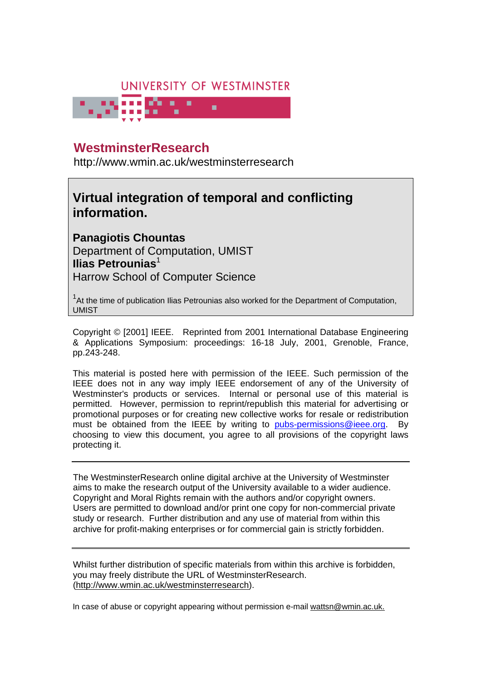## UNIVERSITY OF WESTMINSTER

# **WestminsterResearch**

http://www.wmin.ac.uk/westminsterresearch

### **Virtual integration of temporal and conflicting information.**

**Panagiotis Chountas**  Department of Computation, UMIST **Ilias Petrounias<sup>1</sup>** Harrow School of Computer Science

 $1$ At the time of publication Ilias Petrounias also worked for the Department of Computation, UMIST

Copyright © [2001] IEEE. Reprinted from 2001 International Database Engineering & Applications Symposium: proceedings: 16-18 July, 2001, Grenoble, France, pp.243-248.

This material is posted here with permission of the IEEE. Such permission of the IEEE does not in any way imply IEEE endorsement of any of the University of Westminster's products or services. Internal or personal use of this material is permitted. However, permission to reprint/republish this material for advertising or promotional purposes or for creating new collective works for resale or redistribution must be obtained from the IEEE by writing to pubs-permissions@ieee.org. By choosing to view this document, you agree to all provisions of the copyright laws protecting it.

The WestminsterResearch online digital archive at the University of Westminster aims to make the research output of the University available to a wider audience. Copyright and Moral Rights remain with the authors and/or copyright owners. Users are permitted to download and/or print one copy for non-commercial private Users are permitted to download and/or print one copy for non-commercial private study or research. Further distribution and any use of material from within this study or research. Further distribution and any use of material from within this archive for profit-making enterprises or for commercial gain is strictly forbidden. archive for profit-making enterprises or for commercial gain is strictly forbidden.

Whilst further distribution of specific materials from within this archive is forbidden, Whilst further distribution of specific materials from within this archive is forbidden, you may freely distribute the URL of WestminsterResearch. (http://www.wmin.ac.uk/westminsterresearch).

In case of abuse or copyright appearing without permission e-mail wattsn@wmin.ac.uk.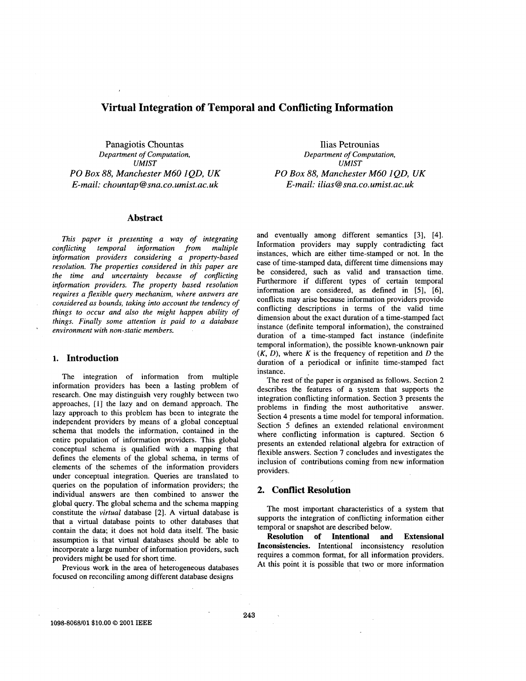#### **Virtual Integration of Temporal and Conflicting Information**

Panagiotis Chountas *Department of Computation, UMIST PO Box 88, Manchester M60 10D, UK E-mail: [chountap@sna.co.umist.ac.uk](mailto:chountap@sna.co.umist.ac.uk)* 

#### **Abstract**

*This paper is presenting a way of integrating conflicting temporal information from multiple information providers considering a property-based resolution. The properties considered in this paper are the time and uncertainty because of conflicting information providers. The property based resolution requires a flexible query mechanism, where answers are considered as bounds, taking into account the tendency of things to occur and also the might happen ability of things. Finally some attention is paid to a database environment with non-static members.* 

#### **1. Introduction**

The integration of information from multiple information providers has been a lasting problem of research. One may distinguish very roughly between two approaches, [I] the lazy and on demand approach. The lazy approach to this problem has been to integrate the independent providers by means of a global conceptual schema that models the information, contained in the entire population of information providers. This global conceptual schema is qualified with a mapping that defines the elements of the global schema, in terms of elements of the schemes of the information providers under conceptual integration. Queries are translated to queries on the population of information providers; the individual answers are then combined to answer the global query. The global schema and the schema mapping constitute the *virtual* database **[2]. A** virtual database is that a virtual database points to other databases that contain the data; it does not hold data itself. The basic assumption is that virtual databases should be able to incorporate a large number of information providers, such providers might be used for short time.

Previous work in the area of heterogeneous databases focused on reconciling among different database designs

Ilias Petrounias *Department of Computation, UMIST PO Box 88, Manchester M60 10D, UK E-mail: ilias@sna.co. umist.ac. uk* 

and eventually among different semantics **[3], [4].**  Information providers may supply contradicting fact instances, which are either time-stamped or not. In the case of time-stamped data, different time dimensions may be considered, such as valid and transaction time. Furthermore if different types of certain temporal information are considered, as defined in *[5],* [6], conflicts may arise because information providers provide conflicting descriptions in terms of the valid time dimension about the exact duration of a time-stamped fact instance (definite temporal information), the constrained duration of a time-stamped fact instance (indefinite temporal information), the possible known-unknown pair *(K, D),* where *K* is the frequency of repetition and *D* the duration of a periodical or infinite time-stamped fact instance.

The rest of the paper is organised as follows. Section **2**  describes the features of a system that supports the integration conflicting information. Section **3** presents the problems in finding the most authoritative answer. Section 4 presents a time model for temporal information. Section *5* defines an extended relational environment where conflicting information is captured. Section 6 presents an extended relational algebra for extraction of flexible answers. Section 7 concludes and investigates the inclusion of contributions coming from new information providers.

#### **2. Conflict Resolution**

The most important characteristics of a system that supports the integration of conflicting information either temporal or snapshot are described below.

**Resolution of Intentional and Extensional Inconsistencies.** Intentional inconsistency resolution requires a common format, for all information providers. At this point it is possible that two or more information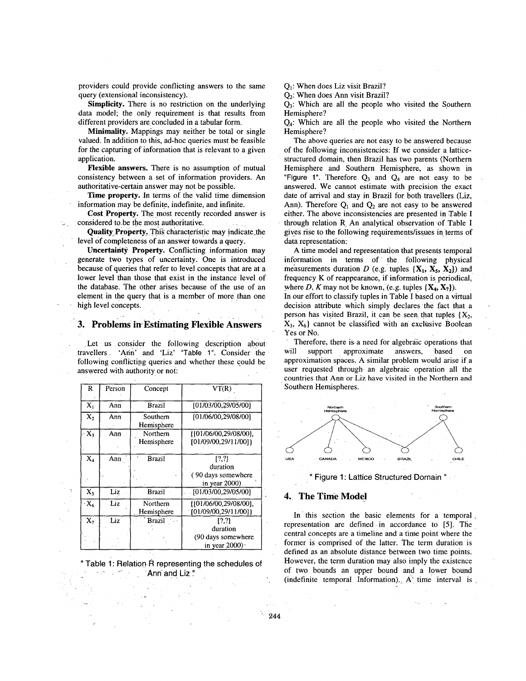providers could provide conflicting answers to the same query (extensional inconsistency).

**Simplicity.** There is no restriction on the underlying data model; the only requirement is that results from different providers are concluded in a tabular form.

**Minimality.** Mappings may neither be total or single valued. In addition to this, ad-hoc queries must be feasible for the capturing of information that is relevant to a given application.

**Flexible answers.** There is no assumption of mutual consistency between a set of information providers. **An**  authoritative-certain answer may not be possible.

**Time property.** In terms of the valid time dimension information may be definite, indefinite, and infinite.

**Cost Property.** The most recently recorded answer is considered to-be the most authoritative.

--

**Quality Property.** This characteristic may indicate the level of completeness of an answer towards a query.

**Uncertainty Property.** Conflicting information may generate two types of uncertainty. One is introduced because of queries that refer to level concepts that are at a lower level than those that exist in the instance level of the database. The other arises because of the use of an element in the query that is a member of more than one high level concepts.

#### **3. Problems in-Estimating Flexible Answers**

Let us consider the following description about travellers. 'Ann' and 'Liz' "Table **1".** Consider the following conflicting queries and whether these could be answered with authority or not:

| R              | Person | Concept                | VT(R)                                                        |
|----------------|--------|------------------------|--------------------------------------------------------------|
| $X_1$          | Ann    | <b>Brazil</b>          | [01/03/00,29/05/00]                                          |
| X <sub>2</sub> | Ann    | Southern<br>Hemisphere | [01/06/00,29/08/00]                                          |
| $- X_3$        | Ann    | Northern<br>Hemisphere | {[01/06/00,29/08/00],<br>[01/09/00,29/11/00]]                |
| $X_4$          | Ann    | <b>Brazil</b>          | [?, ?]<br>duration<br>(90 days somewhere<br>in year $2000$ ) |
| $X_5$          | Liz    | <b>Brazil</b>          | [01/03/00,29/05/00]                                          |
| $X_6$          | Liz    | Northern<br>Hemisphere | {[01/06/00,29/08/00],<br>[01/09/00,29/11/00]]                |
| $X_7$          | Liz    | Brazil ·               | [ ? , ?]<br>duration<br>(90 days somewhere                   |
|                |        |                        | in year $2000$ .                                             |

Table 1: Relation **R** representing the schedules of **Ann and Liz**  $\ddot{\phantom{a}}$ 

Q1: When does Liz visit Brazil?

 $Q_2$ : When does Ann visit Brazil?

 $Q_3$ : Which are all the people who visited the Southern Hemisphere?

**Q4:** Which are all the people who visited the Northern Hemisphere?

The above queries are not easy to be answered because of the following inconsistencies: If we consider a latticestructured domain, then Brazil has two parents (Northern Hemisphere and Southern Hemisphere, as shown in "Figure 1". Therefore  $Q_3$  and  $Q_4$  are not easy to be answered. We cannot estimate with precision the exact date of arrival and stay in Brazil for both travellers (Liz, Ann). Therefore  $Q_1$  and  $Q_2$  are not easy to be answered either. The above inconsistencies are presented in Table I through relation R An analytical observation of Table I gives rise to the following requirements/issues in terms of data representation:

**A** time model and representation that presents temporal information in terms of the following physical measurements duration  $D$  (e.g. tuples  $\{X_1, X_5, X_2\}$ ) and frequency K of reappearance, if information is periodical, where *D*, *K* may not be known, (e.g. tuples  $\{X_4, X_7\}$ ).

In our effort to classify tuples in Table I based on a virtual decision attribute which simply declares the fact that a person has visited Brazil, it can be seen that tuples  ${X_2,$  $X_3$ ,  $X_6$ } cannot be classified with an exclusive Boolean Yes or No.

Therefore, there is a need for algebraic operations that will support approximate answers, based on approximation spaces. A similar problem would arise if a user requested through an algebraic operation all the countries that Ann or Liz have visited in the Northern and Southern Hemispheres.



" Figure **1** : Lattice Structured Domain "

#### **4. The Time Model**

In this section the basic elements for a temporal . representation are defined in accordance to *[5].* The central concepts are a timeline and a time point where the former is comprised of the latter. The term duration is defined as an absolute distance between two time points. However, the term duration may also imply the existence of two bounds an upper bound and a lower bound (indefinite temporal Information). A time interval is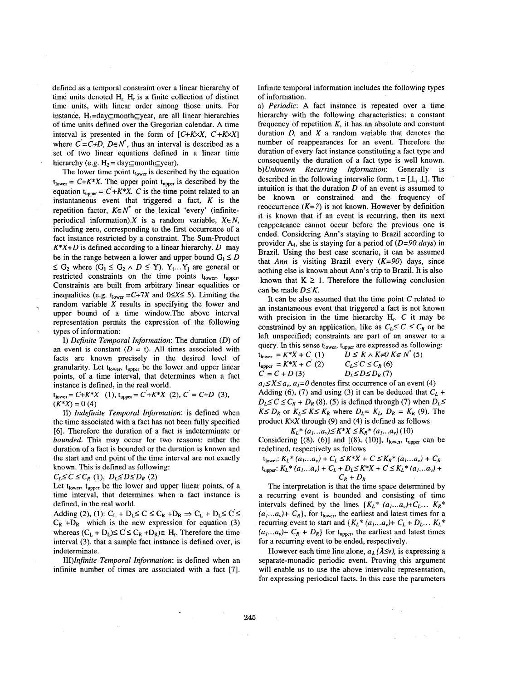defined as a temporal constraint over a linear hierarchy of time units denoted  $H_r$ ,  $H_r$  is a finite collection of distinct time units, with linear order among those units. For instance,  $H_1 = day \subset \text{month} \subset \text{year}$ , are all linear hierarchies of time units defined over the Gregorian calendar. A time interval is presented in the form of *[C+KxX, C'+KXX]*  where  $C = C + D$ ,  $D \in N^*$ , thus an interval is described as a set of two linear equations defined in a linear time hierarchy (e.g.  $H_2 = day \text{C}$ month $\text{C}$ year).

The lower time point  $t_{lower}$  is described by the equation  $t_{\text{lower}} = C + K^*X$ . The upper point  $t_{\text{upper}}$  is described by the equation  $t_{\text{upper}} = C + K^*X$ . *C* is the time point related to an instantaneous event that triggered a fact,  $K$  is the repetition factor,  $K \in N^*$  or the lexical 'every' (infiniteperiodical information). X is a random variable,  $X \in N$ , including zero, corresponding to the first occurrence of a fact instance restricted by a constraint. The Sum-Product  $K^*X+D$  is defined according to a linear hierarchy. *D* may be in the range between a lower and upper bound  $G_1 \leq D$  $\leq G_2$  where  $(G_1 \leq G_2 \land D \leq Y)$ .  $Y_i \dots Y_i$  are general or restricted constraints on the time points  $t_{lower}$ ,  $t_{upper}$ . Constraints are built from arbitrary linear equalities or inequalities (e.g.  $t_{lower} = C + 7X$  and  $0 \le X \le 5$ ). Limiting the random variable *X* results in specifying the lower and upper bound of a time window.The above interval representation permits the expression of the following types of information:

*I) Definite Temporal Information:* The duration *(D)* of an event is constant  $(D = t)$ . All times associated with facts are known precisely in the desired level of granularity. Let t<sub>lower</sub>, t<sub>upper</sub> be the lower and upper linear points, of a time interval, that determines when a fact instance is defined, in the real world.

 $t_{\text{lower}} = C + K^*X$  (1),  $t_{\text{upper}} = C^* + K^*X$  (2),  $C^* = C + D$  (3),  $(K^*X) = 0$  (4)

*11) Indefinite Temporal Information:* is defined when the time associated with a fact has not been fully specified **[6].** Therefore the duration of a fact is indeterminate or *bounded.* This may occur for two reasons: either the duration of a fact is bounded or the duration is known and the start and end point of the time interval are not exactly known. This is defined as following:

#### $C_L \leq C \leq C_R$  (1),  $D_L \leq D \leq D_R$  (2)

,<br>ali

Let  $t_{\text{lower}}$ ,  $t_{\text{upper}}$  be the lower and upper linear points, of a time interval, that determines when a fact instance is defined, in the real world.

Adding (2), (1):  $C_L$  +  $D_L \le C \le C_R$  + $D_R$   $\Rightarrow$   $C_L$  +  $D_L \le C \le$  $C_R$  +D<sub>R</sub> which is the new expression for equation (3) whereas  $(C_L + D_L) \le C \le C_R + D_R \in H_r$ . Therefore the time interval *(3),* that a sample fact instance is defined over, is indeterminate.

*1II)Infnite Temporal Information:* is defined when an infinite number of times are associated with a fact [7].

Infinite temporal information includes the following types of information.

a) *Periodic:* **A** fact instance is repeated over a time hierarchy with the following characteristics: a constant frequency of repetition  $K$ , it has an absolute and constant duration *D,* and *X* a random variable that denotes the number of reappearances for an event. Therefore the duration of every fact instance constituting a fact type and consequently the duration of a fact type is well known. b)Unknown *Recurring Information:* Generally is described in the following intervalic form,  $t = [\perp, \perp]$ . The intuition is that the duration *D* of an event is assumed to be known or constrained and the frequency of reoccurrence  $(K=?)$  is not known. However by definition it is known that if an event is recurring, then its next reappearance cannot occur before the previous one is ended. Considering Ann's staying to Brazil according to provider &, she is staying for a period of *(D=90 days)* in Brazil. Using the best case scenario, it can be assumed that *Ann* is visiting Brazil every *(K=90)* days, since nothing else is known about Ann's trip to Brazil. It is also known that  $K \geq 1$ . Therefore the following conclusion can be made *DSK.* 

It can be also assumed that the time point *C* related to an instantaneous event that triggered a fact is not known with precision in the time hierarchy  $H_r$ . *C* it may be constrained by an application, like as  $C_L \leq C \leq C_R$  or be left unspecified; constraints are part of an answer to a query. In this sense t<sub>lower</sub>, t<sub>upper</sub> are expressed as following:

t<sub>lower</sub> =  $K^*X + C$  (1)  $D \le K \wedge K \ne 0$   $K \in N^*(5)$ <br>
t<sub>upper</sub> =  $K^*X + C$  (2)  $C_L \le C \le C_R$  (6)  $t_{upper} = K*X + C'$  (2)<br>  $C = C + D$  (3)  $D_L \leq D \leq D_R(7)$ 

 $a_1 \le X \le a_v$ ,  $a_1 = 0$  denotes first occurrence of an event (4) Adding  $(6)$ ,  $(7)$  and using  $(3)$  it can be deduced that  $C_L$  +  $D_L \leq C \leq C_R + D_R$  (8). (5) is defined through (7) when  $D_L \leq C$  $K \leq D_R$  or  $K_L \leq K \leq K_R$  where  $D_L = K_L$ ,  $D_R = K_R$  (9). The product *KxX* through (9) and (4) is defined as follows

 $K_L^*$  (a<sub>1</sub>...a<sub>v</sub>) $\leq K^*X \leq K_R^*$  (a<sub>1</sub>...a<sub>v</sub>)(10)

Considering  $[(8), (6)]$  and  $[(8), (10)]$ , t<sub>lower</sub>, t<sub>upper</sub> can be redefined, respectively as follows

 $t_{\text{lower}}$ :  $K_L^*(a_1...a_v) + C_L \leq K^*X + C \leq K_R^*(a_1...a_v) + C_R$  $t_{\text{upper}}$ :  $K_L^*(a_1...a_v) + C_L + D_L \leq K^*X + C \leq K_L^*(a_1...a_v) + C_L$  $C_R + D_R$ 

The interpretation is that the time space determined by a recurring event is bounded and consisting of time intervals defined by the lines  $\{K_L^*(a_1...a_v)+C_L...K_R^*\}$  $(a_1...a_v)$ +  $C_R$ , for t<sub>lower</sub>, the earliest and latest times for a recurring event to start and  ${K_L^*(a_1...a_v)}$  +  $C_L$  +  $D_L... K_L^*$  $(a_1...a_v)$ +  $C_R$  +  $D_R$ } for t<sub>upper</sub>, the earliest and latest times for a recurring event to be ended, respectively.

However each time line alone,  $a_{\lambda}$  ( $\lambda \leq v$ ), is expressing a separate-monadic periodic event. Proving this argument will enable us to use the above intervalic representation, for expressing periodical facts. In this case the parameters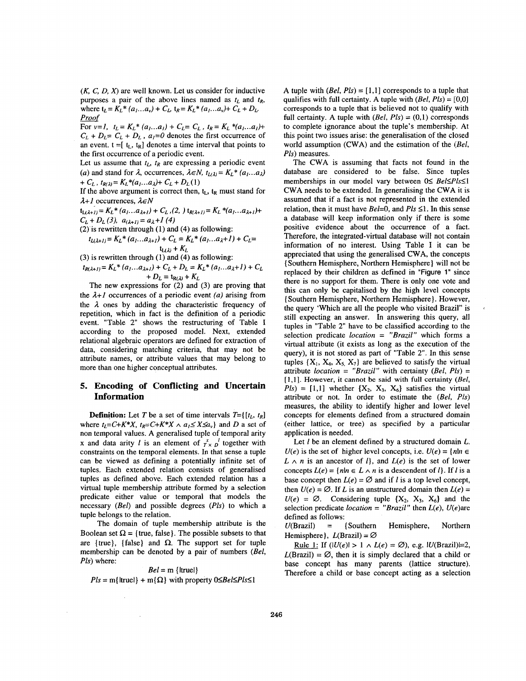*(K, C, D, X)* are well known. Let us consider for inductive purposes a pair of the above lines named as  $t_L$  and  $t_R$ , where  $t_L = K_L^* (a_1... a_v) + C_L t_R = K_L^* (a_1... a_v) + C_L + D_L$ . *Proof* 

For  $v=1$ ,  $t_L = K_L^* (a_1...a_l) + C_L = C_L$ ,  $t_R = K_L^* (a_1...a_l) + C_L^* (a_2...a_l)$  $C_L + D_L = C_L + D_L$ ,  $a_l = 0$  denotes the first occurrence of an event.  $t = [t_L, t_R]$  denotes a time interval that points to the first occurrence of a periodic event.

Let us assume that  $t_L$ ,  $t_R$  are expressing a periodic event *(a)* and stand for  $\lambda$ , occurrences,  $\lambda \in N$ ,  $t_{1/\lambda} = K_L^* (a_1... a_\lambda)$  $+C_L$ ,  $t_{R(\lambda)} = K_L^*(a_1...a_\lambda) + C_L + D_L(1)$ 

If the above argument is correct then,  $t_L$ ,  $t_R$  must stand for  $\lambda + I$  occurrences,  $\lambda \in N$ 

 $t_{U(\lambda+1)} = K_L^* (a_1...a_{\lambda+1}) + C_L (2, t) t_{R(\lambda+1)} = K_L^* (a_1...a_{\lambda+1}) +$  $C_L + D_L(3)$ ,  $a_{(\lambda+1)} = a_{\lambda} + I(4)$ 

(2) is rewritten through *(1)* and (4) as following:

$$
t_{L(\lambda+1)} = K_L^* (a_1...a_{\lambda+1}) + C_L = K_L^* (a_1...a_{\lambda}+1) + C_L =
$$
  

$$
t_{L(\lambda)} + K_L
$$

(3) is rewritten through (1) and **(4)** as following:

$$
t_{R(\lambda+I)} = K_L^* (a_I...a_{\lambda+I}) + C_L + D_L = K_L^* (a_I...a_{\lambda}+I) + C_L + D_L = t_{R(\lambda)} + K_L
$$

The new expressions for (2) and (3) are proving that the  $\lambda + I$  occurrences of a periodic event *(a)* arising from the  $\lambda$  ones by adding the characteristic frequency of repetition, which in fact is the definition of a periodic event. "Table 2" shows the restructuring of Table I according to the proposed model. Next, extended relational algebraic operators are defined for extraction of data, considering matching criteria, that may not be attribute names, or attribute values that may belong to more than one higher conceptual attributes.

#### **5. Encoding of Conflicting and Uncertain Information**

**Definition:** Let T be a set of time intervals  $T=[t_L, t_R]$ where  $t_1 = C + K^*X$ ,  $t_R = C + K^*X \wedge a_1 \le X \le a_v$  and *D* a set of non temporal values. A generalised tuple of temporal arity **x** and data arity *l* is an element of  $\overline{f}_{\times}$  *n*<sup>d</sup> together with constraints on the temporal elements. In that sense a tuple can be viewed as defining a potentially infinite set of tuples. Each extended relation consists of generalised tuples as defined above. Each extended relation has a virtual tuple membership attribute formed by a selection predicate either value or temporal that models the necessary *(Bel)* and possible degrees *(Pls)* to which a tuple belongs to the relation.

The domain of tuple membership attribute is the Boolean set  $\Omega = \{true, false\}$ . The possible subsets to that are {true}, {false} and  $\Omega$ . The support set for tuple membership can be denoted by a pair of numbers *(Bel, Pls)* where:

#### $Bel = m$  { $|true|$ }

 $Pls = m\{$  ltruel} + m $\{\Omega\}$  with property  $0 \leq Bel \leq Pls \leq 1$ 

A tuple with *(Bel, Pls)* = [1,1] corresponds to a tuple that qualifies with full certainty. A tuple with  $(Bel, Pls) = [0,0]$ corresponds to a tuple that is believed not to qualify with full certainty. A tuple with  $(Bel, Pls) = (0,1)$  corresponds to complete ignorance about the tuple's membership. At this point two issues arise: the generalisation of the closed world assumption (CWA) and the estimation of the *(Bel, Pls)* measures.

The CWA is assuming that facts not found in the database are considered to be false. Since tuples memberships in our model vary between  $0 \leq$   $Bel \leq$ Pls $\leq$ 1 CWA needs to be extended. In generalising the CWA it is assumed that if a fact is not represented in the extended relation, then it must have *Bel=O,* and *Pls* **51.** In this sense a database will keep information only if there is some positive evidence about the occurrence of a fact. Therefore, the integrated-virtual database will not contain information of no interest. Using Table I it can be appreciated that using the generalised CWA, the concepts {Southern Hemisphere, Northern Hemisphere} will not be replaced by their children as defined in **"Figure 1"** since there is no support for them. There is only one vote and this can only be capitalised by the high level concepts (Southern Hemisphere, Northern Hemisphere). However, the query 'Which are all the people who visited Brazil" is still expecting an answer. In answering this query, all tuples in "Table 2" have to be classified according to the selection predicate *location* = *"Brazil"* which forms a virtual attribute (it exists as long as the execution of the query), it is not stored as part of "Table 2". In this sense tuples  $\{X_1, X_4, X_5, X_7\}$  are believed to satisfy the virtual attribute *location* = "Brazil" with certainty  $(Bel, Pls)$  = **[1,1].** However, it cannot be said with full certainty (Bel,  $Pls$ ) = [1,1] whether  $\{X_2, X_3, X_6\}$  satisfies the virtual attribute or not. In order to estimate the (Bel, *Pls)*  measures, the ability to identify higher and lower level concepts for elements defined from a structured domain (either lattice, or tree) as specified by a particular application is needed.

Let *l* be an element defined by a structured domain *L*.  $U(e)$  is the set of higher level concepts, i.e.  $U(e) = \{nh \in E\}$  $L \wedge n$  is an ancestor of *l)*, and  $L(e)$  is the set of lower concepts  $L(e) = \{nh \in L \land n \text{ is a descendant of } l\}$ . If *l* is a base concept then  $L(e) = \emptyset$  and if *l* is a top level concept, then  $U(e) = \emptyset$ . If *L* is an unstructured domain then  $L(e) =$  $U(e) = \emptyset$ . Considering tuple  $\{X_2, X_3, X_6\}$  and the selection predicate *location* = "Brazil" then  $L(e)$ ,  $U(e)$ are defined as follows:

 $U(Brazil) =$  {Southern Hemisphere, Northern Hemisphere),  $L(Brazil) = \emptyset$ 

Rule 1: If  $(|U(e)| > 1 \wedge L(e) = \emptyset)$ , e.g.  $|U(Brazil)|=2$ ,  $L(Brazil) = \emptyset$ , then it is simply declared that a child or base concept has many parents (lattice structure). Therefore a child or base concept acting as a selection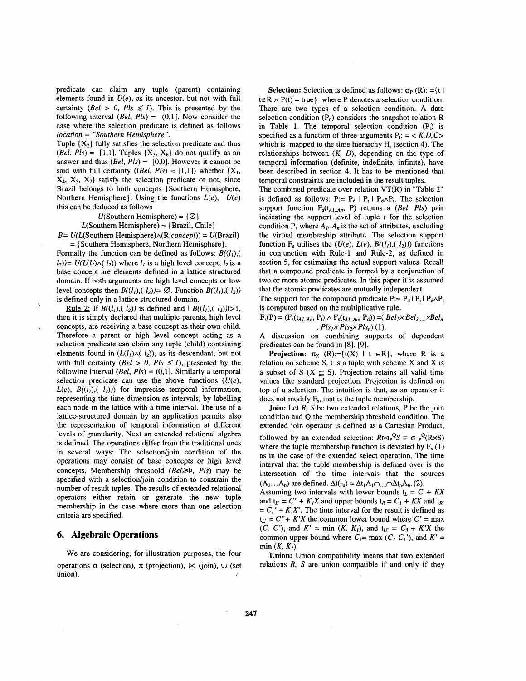predicate can claim any tuple (parent) containing elements found in *U(e),* as its ancestor, but not with full certainty *(Bel > 0, Pls*  $\leq$  *<i>I)*. This is presented by the following interval *(Bel, Pls)* = (0,1]. Now consider the case where the selection predicate is defined as follows *location* = *"Southern Hemisphere* ".

Tuple  $\{X_2\}$  fully satisfies the selection predicate and thus  $(Bel, Pls) = [1,1]$ . Tuples  $\{X_3, X_6\}$  do not qualify as an answer and thus  $(Bel, Pls) = [0,0]$ . However it cannot be said with full certainty  $((Bel, Pls) = [1,1])$  whether  ${X_1,$  $X_4$ ,  $X_5$ ,  $X_7$ } satisfy the selection predicate or not, since Brazil belongs to both concepts {Southern Hemisphere, Northern Hemisphere}. Using the functions *L(e), U(e)*  this can be deduced as follows

 $U(\text{Southern Hemisphere}) = \{ \emptyset \}$ 

 $L(Southern Hemisphere) = {Brazil, Chile}$ *B=*  $U(L(Southern Hemisphere) \land (R.concept)$ *) =*  $U(Brazil)$ 

= (Southern Hemisphere, Northern Hemisphere). Formally the function can be defined as follows:  $B((l_1)$ ,  $I_2$ ))=  $U(L(l_1) \wedge (l_2))$  where  $l_1$  is a high level concept,  $l_2$  is a base concept are elements defined in a lattice structured domain. If both arguments are high level concepts or low level concepts then  $B((l_1), (l_2)) = \emptyset$ . Function  $B((l_1), (l_2))$ is defined only in a lattice structured domain.

<u>Rule 2:</u> If  $B((l_1), (l_2))$  is defined and  $|B((l_1), (l_2))|>1$ , then it is simply declared that multiple parents, high level concepts, are receiving a base concept as their own child. Therefore a parent or high level concept acting as a selection predicate can claim any tuple (child) containing elements found in  $(L(l_1) \wedge (l_2))$ , as its descendant, but not with full certainty ( $Bel > 0$ ,  $Pls \leq 1$ ), presented by the following interval *(Bel, Pls)* = (0,1]. Similarly a temporal selection predicate can use the above functions *(U(e),*   $L(e)$ ,  $B((l_1), (l_2))$  for imprecise temporal information, representing the time dimension as intervals, by labelling each node in the lattice with a time interval. The use of a lattice-structured domain by an application permits also the representation of temporal information at different levels of granularity. Next an extended relational algebra is defined. The operations differ from the traditional ones in several ways: The selection/join condition of the operations may consist of base. concepts **or** high level concepts. Membership threshold *(Bel* $\geq$ **O**, *Pls)* may be specified with a selection/ioin condition to constrain the number of result tuples. The results of extended relational operators either retain or generate the new tuple membership in the case where more than one selection criteria are specified.

#### **6. Algebraic Operations**

We are considering, for illustration purposes, the four operations  $\sigma$  (selection),  $\pi$  (projection),  $\bowtie$  (join),  $\cup$  (set  $union$ ).

**Selection:** Selection is defined as follows:  $\sigma_P$  (R): ={ $t$  |  $t \in R \land P(t) = true$  where P denotes a selection condition. There are two types of a selection condition. **A** data selection condition  $(P_d)$  considers the snapshot relation R in Table 1. The temporal selection condition  $(P_1)$  is specified as a function of three arguments  $P_i$ : = <  $K_i$ ,  $D_i$ ,  $C$ > which is mapped to the time hierarchy H, (section **4).** The relationships between *(K, D)*, depending on the type of temporal information (definite, indefinite, infinite), have been described in section 4. It has to be mentioned that temporal constraints are included in the result tuples.

The combined predicate over relation VT(R) in "Table *2"*  is defined as follows:  $P := P_d | P_t | P_d \wedge P_t$ . The selection support function F<sub>s</sub>(t<sub>AL.An</sub>, P) returns a *(Bel, Pls)* pair indicating the support level of tuple *t* for the selection condition P, where  $A_1 \cdot A_n$  is the set of attributes, excluding the virtual membership attribute. The selection support function  $F_s$  utilises the  $(U(e), L(e), B((l_1), (l_2)))$  functions in conjunction with Rule-1 and Rule-2, as defined in section 5, for estimating the actual support values. Recall that a compound predicate is formed by a conjunction of two or more atomic predicates. In this paper it is assumed that the atomic predicates are mutually independent.

The support for the compound predicate P:=  $P_d$  |  $P_t$  |  $P_d \wedge P_t$ is computed based on the multiplicative rule.

$$
F_s(P) = (F_s(t_{A1..An}, P_t) \wedge F_s(t_{A1..An}, P_d)) = (Bel_1 \times Bel_{2....} \times Bel_n
$$
  
, 
$$
Pls_1 \times Pls_2 \times Pls_n) (1).
$$

A discussion on combining supports of dependent predicates can be found in **[8],** [9].

**Projection:**  $\pi_X$  (R):={t(X) | t  $\in$ R}, where R is a relation on scheme *S,* t is a tuple with scheme **X** and **X** is a subset of S ( $X \subseteq S$ ). Projection retains all valid time values like standard projection. Projection is defined on top of a selection. The intuition is that, as an operator it does not modify  $F_s$ , that is the tuple membership.

**Join:** Let *R*, *S* be two extended relations, P be the join condition and *Q* the membership threshold condition. The extended join operator is defined as a Cartesian Product, followed by an extended selection:  $R \bowtie_{P}^Q S \equiv \sigma_P^Q(R \times S)$ where the tuple membership function is deviated by  $F_s(1)$ as in the case of the extended select operation. The time interval that the tuple membership is defined over is the intersection of the time intervals that the sources  $(A_1... A_n)$  are defined.  $\Delta t(F_s) = \Delta t_1 A_1 \cap ... \cap \Delta t_n A_n$ . (2). Assuming two intervals with lower bounds  $t_L = C + KX$ and  $t_{L} = C' + K_{l}X$  and upper bounds  $t_{R} = C_{l} + KX$  and  $t_{R'}$  $= C_l' + K_lX'$ . The time interval for the result is defined as  $t_U = C'' + K'X$  the common lower bound where  $C' = \max$ *(C, C'),* and  $K' = \min(K, K_1)$ , and  $t_V = C_3 + K'X$  the common upper bound where  $C_3$ = max  $(C_1 C_1)$ , and  $K'$  = min  $(K, K<sub>1</sub>)$ .

**Union:** Union compatibility means that two extended relations *R, S* are union compatible if and only if they